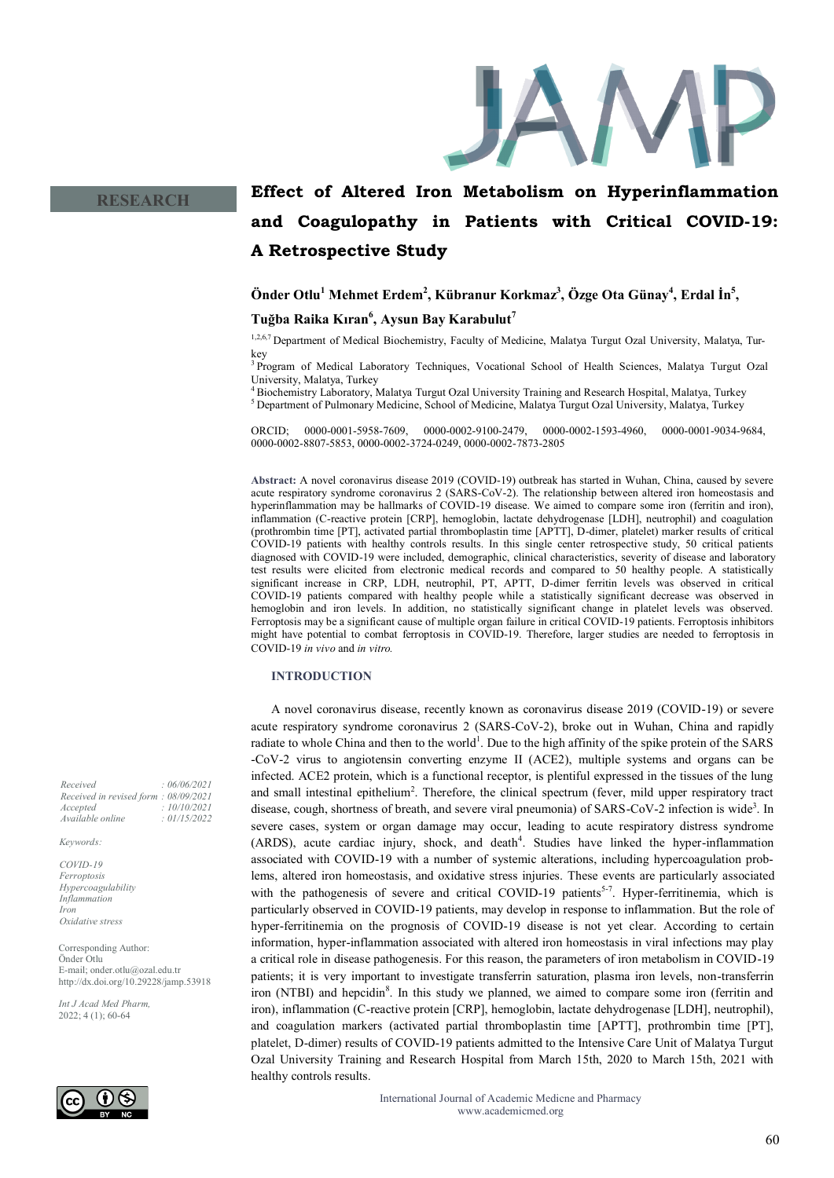

# **Effect of Altered Iron Metabolism on Hyperinflammation and Coagulopathy in Patients with Critical COVID-19: A Retrospective Study**

## **Önder Otlu<sup>1</sup> Mehmet Erdem<sup>2</sup> , Kübranur Korkmaz<sup>3</sup> , Özge Ota Günay<sup>4</sup> , Erdal İn<sup>5</sup> , Tuğba Raika Kıran<sup>6</sup> , Aysun Bay Karabulut<sup>7</sup>**

1,2,6,7 Department of Medical Biochemistry, Faculty of Medicine, Malatya Turgut Ozal University, Malatya, Turkey

<sup>3</sup>Program of Medical Laboratory Techniques, Vocational School of Health Sciences, Malatya Turgut Ozal University, Malatya, Turkey

<sup>4</sup>Biochemistry Laboratory, Malatya Turgut Ozal University Training and Research Hospital, Malatya, Turkey <sup>5</sup> Department of Pulmonary Medicine, School of Medicine, Malatya Turgut Ozal University, Malatya, Turkey

ORCID; 0000-0001-5958-7609, 0000-0002-9100-2479, 0000-0002-1593-4960, 0000-0001-9034-9684, 0000-0002-8807-5853, 0000-0002-3724-0249, 0000-0002-7873-2805

**Abstract:** A novel coronavirus disease 2019 (COVID-19) outbreak has started in Wuhan, China, caused by severe acute respiratory syndrome coronavirus 2 (SARS-CoV-2). The relationship between altered iron homeostasis and hyperinflammation may be hallmarks of COVID-19 disease. We aimed to compare some iron (ferritin and iron), inflammation (C-reactive protein [CRP], hemoglobin, lactate dehydrogenase [LDH], neutrophil) and coagulation (prothrombin time [PT], activated partial thromboplastin time [APTT], D-dimer, platelet) marker results of critical COVID-19 patients with healthy controls results. In this single center retrospective study, 50 critical patients diagnosed with COVID-19 were included, demographic, clinical characteristics, severity of disease and laboratory test results were elicited from electronic medical records and compared to 50 healthy people. A statistically significant increase in CRP, LDH, neutrophil, PT, APTT, D-dimer ferritin levels was observed in critical COVID-19 patients compared with healthy people while a statistically significant decrease was observed in hemoglobin and iron levels. In addition, no statistically significant change in platelet levels was observed. Ferroptosis may be a significant cause of multiple organ failure in critical COVID-19 patients. Ferroptosis inhibitors might have potential to combat ferroptosis in COVID-19. Therefore, larger studies are needed to ferroptosis in COVID-19 *in vivo* and *in vitro.*

#### **INTRODUCTION**

A novel coronavirus disease, recently known as coronavirus disease 2019 (COVID-19) or severe acute respiratory syndrome coronavirus 2 (SARS-CoV-2), broke out in Wuhan, China and rapidly radiate to whole China and then to the world<sup>1</sup>. Due to the high affinity of the spike protein of the SARS -CoV-2 virus to angiotensin converting enzyme II (ACE2), multiple systems and organs can be infected. ACE2 protein, which is a functional receptor, is plentiful expressed in the tissues of the lung and small intestinal epithelium<sup>2</sup>. Therefore, the clinical spectrum (fever, mild upper respiratory tract disease, cough, shortness of breath, and severe viral pneumonia) of SARS-CoV-2 infection is wide<sup>3</sup>. In severe cases, system or organ damage may occur, leading to acute respiratory distress syndrome (ARDS), acute cardiac injury, shock, and death<sup>4</sup>. Studies have linked the hyper-inflammation associated with COVID-19 with a number of systemic alterations, including hypercoagulation problems, altered iron homeostasis, and oxidative stress injuries. These events are particularly associated with the pathogenesis of severe and critical COVID-19 patients<sup>5-7</sup>. Hyper-ferritinemia, which is particularly observed in COVID-19 patients, may develop in response to inflammation. But the role of hyper-ferritinemia on the prognosis of COVID-19 disease is not yet clear. According to certain information, hyper-inflammation associated with altered iron homeostasis in viral infections may play a critical role in disease pathogenesis. For this reason, the parameters of iron metabolism in COVID-19 patients; it is very important to investigate transferrin saturation, plasma iron levels, non-transferrin iron (NTBI) and hepcidin<sup>8</sup>. In this study we planned, we aimed to compare some iron (ferritin and iron), inflammation (C-reactive protein [CRP], hemoglobin, lactate dehydrogenase [LDH], neutrophil), and coagulation markers (activated partial thromboplastin time [APTT], prothrombin time [PT], platelet, D-dimer) results of COVID-19 patients admitted to the Intensive Care Unit of Malatya Turgut Ozal University Training and Research Hospital from March 15th, 2020 to March 15th, 2021 with healthy controls results.

> International Journal of Academic Medicne and Pharmacy www.academicmed.org

*Received : 06/06/2021 Received in revised form : 08/09/2021 Accepted : 10/10/2021 Available online : 01/15/2022*

*Keywords:*

*COVID-19 Ferroptosis Hypercoagulability Inflammation Iron Oxidative stress*

Corresponding Author: Önder Otlu E-mail; onder.otlu@ozal.edu.tr http://dx.doi.org/10.29228/jamp.53918

*Int J Acad Med Pharm,* 2022; 4 (1); 60-64

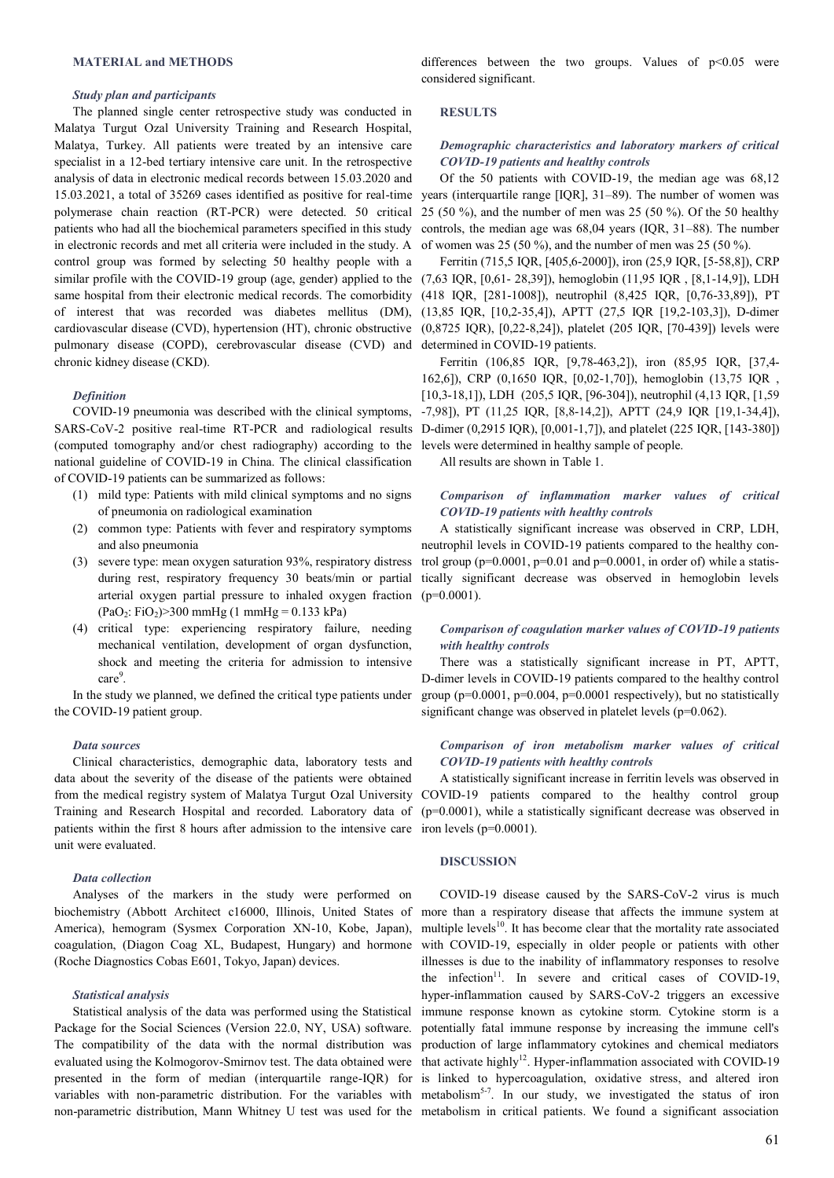#### **MATERIAL and METHODS**

## *Study plan and participants*

The planned single center retrospective study was conducted in Malatya Turgut Ozal University Training and Research Hospital, Malatya, Turkey. All patients were treated by an intensive care specialist in a 12-bed tertiary intensive care unit. In the retrospective analysis of data in electronic medical records between 15.03.2020 and 15.03.2021, a total of 35269 cases identified as positive for real-time polymerase chain reaction (RT-PCR) were detected. 50 critical patients who had all the biochemical parameters specified in this study in electronic records and met all criteria were included in the study. A control group was formed by selecting 50 healthy people with a similar profile with the COVID-19 group (age, gender) applied to the  $(7,63$  IQR, [0,61- 28,39]), hemoglobin (11,95 IQR, [8,1-14,9]), LDH same hospital from their electronic medical records. The comorbidity of interest that was recorded was diabetes mellitus (DM), cardiovascular disease (CVD), hypertension (HT), chronic obstructive pulmonary disease (COPD), cerebrovascular disease (CVD) and chronic kidney disease (CKD).

## *Definition*

COVID-19 pneumonia was described with the clinical symptoms, (computed tomography and/or chest radiography) according to the national guideline of COVID-19 in China. The clinical classification of COVID-19 patients can be summarized as follows:

- (1) mild type: Patients with mild clinical symptoms and no signs of pneumonia on radiological examination
- (2) common type: Patients with fever and respiratory symptoms and also pneumonia
- (3) severe type: mean oxygen saturation 93%, respiratory distress during rest, respiratory frequency 30 beats/min or partial arterial oxygen partial pressure to inhaled oxygen fraction  $(PaO<sub>2</sub>: FiO<sub>2</sub>) > 300 mmHg (1 mmHg = 0.133 kPa)$
- (4) critical type: experiencing respiratory failure, needing mechanical ventilation, development of organ dysfunction, shock and meeting the criteria for admission to intensive care<sup>9</sup>.

In the study we planned, we defined the critical type patients under the COVID-19 patient group.

### *Data sources*

Clinical characteristics, demographic data, laboratory tests and data about the severity of the disease of the patients were obtained Training and Research Hospital and recorded. Laboratory data of patients within the first 8 hours after admission to the intensive care iron levels (p=0.0001). unit were evaluated.

### *Data collection*

Analyses of the markers in the study were performed on biochemistry (Abbott Architect c16000, Illinois, United States of America), hemogram (Sysmex Corporation XN-10, Kobe, Japan), coagulation, (Diagon Coag XL, Budapest, Hungary) and hormone (Roche Diagnostics Cobas E601, Tokyo, Japan) devices.

#### *Statistical analysis*

Statistical analysis of the data was performed using the Statistical Package for the Social Sciences (Version 22.0, NY, USA) software. The compatibility of the data with the normal distribution was evaluated using the Kolmogorov-Smirnov test. The data obtained were presented in the form of median (interquartile range-IQR) for variables with non-parametric distribution. For the variables with non-parametric distribution, Mann Whitney U test was used for the metabolism in critical patients. We found a significant association

differences between the two groups. Values of  $p<0.05$  were considered significant.

#### **RESULTS**

## *Demographic characteristics and laboratory markers of critical COVID-19 patients and healthy controls*

Of the 50 patients with COVID-19, the median age was 68,12 years (interquartile range [IQR], 31–89). The number of women was 25 (50 %), and the number of men was 25 (50 %). Of the 50 healthy controls, the median age was 68,04 years (IQR, 31–88). The number of women was 25 (50 %), and the number of men was 25 (50 %).

Ferritin (715,5 IQR, [405,6-2000]), iron (25,9 IQR, [5-58,8]), CRP (418 IQR, [281-1008]), neutrophil (8,425 IQR, [0,76-33,89]), PT (13,85 IQR, [10,2-35,4]), APTT (27,5 IQR [19,2-103,3]), D-dimer (0,8725 IQR), [0,22-8,24]), platelet (205 IQR, [70-439]) levels were determined in COVID-19 patients.

SARS-CoV-2 positive real-time RT-PCR and radiological results  $D$ -dimer  $(0,2915 IQR, [0,001-1,7])$ , and platelet  $(225 IQR, [143-380])$ Ferritin (106,85 IQR, [9,78-463,2]), iron (85,95 IQR, [37,4- 162,6]), CRP (0,1650 IQR, [0,02-1,70]), hemoglobin (13,75 IQR , [10,3-18,1]), LDH (205,5 IQR, [96-304]), neutrophil (4,13 IQR, [1,59 -7,98]), PT (11,25 IQR, [8,8-14,2]), APTT (24,9 IQR [19,1-34,4]), levels were determined in healthy sample of people.

All results are shown in Table 1.

## *Comparison of inflammation marker values of critical COVID-19 patients with healthy controls*

A statistically significant increase was observed in CRP, LDH, neutrophil levels in COVID-19 patients compared to the healthy control group ( $p=0.0001$ ,  $p=0.01$  and  $p=0.0001$ , in order of) while a statistically significant decrease was observed in hemoglobin levels  $(p=0.0001)$ .

## *Comparison of coagulation marker values of COVID-19 patients with healthy controls*

There was a statistically significant increase in PT, APTT, D-dimer levels in COVID-19 patients compared to the healthy control group ( $p=0.0001$ ,  $p=0.004$ ,  $p=0.0001$  respectively), but no statistically significant change was observed in platelet levels (p=0.062).

## *Comparison of iron metabolism marker values of critical COVID-19 patients with healthy controls*

from the medical registry system of Malatya Turgut Ozal University COVID-19 patients compared to the healthy control group A statistically significant increase in ferritin levels was observed in (p=0.0001), while a statistically significant decrease was observed in

## **DISCUSSION**

COVID-19 disease caused by the SARS-CoV-2 virus is much more than a respiratory disease that affects the immune system at multiple levels<sup>10</sup>. It has become clear that the mortality rate associated with COVID-19, especially in older people or patients with other illnesses is due to the inability of inflammatory responses to resolve the infection<sup>11</sup>. In severe and critical cases of COVID-19, hyper-inflammation caused by SARS-CoV-2 triggers an excessive immune response known as cytokine storm. Cytokine storm is a potentially fatal immune response by increasing the immune cell's production of large inflammatory cytokines and chemical mediators that activate highly<sup>12</sup>. Hyper-inflammation associated with COVID-19 is linked to hypercoagulation, oxidative stress, and altered iron metabolism<sup>5-7</sup>. In our study, we investigated the status of iron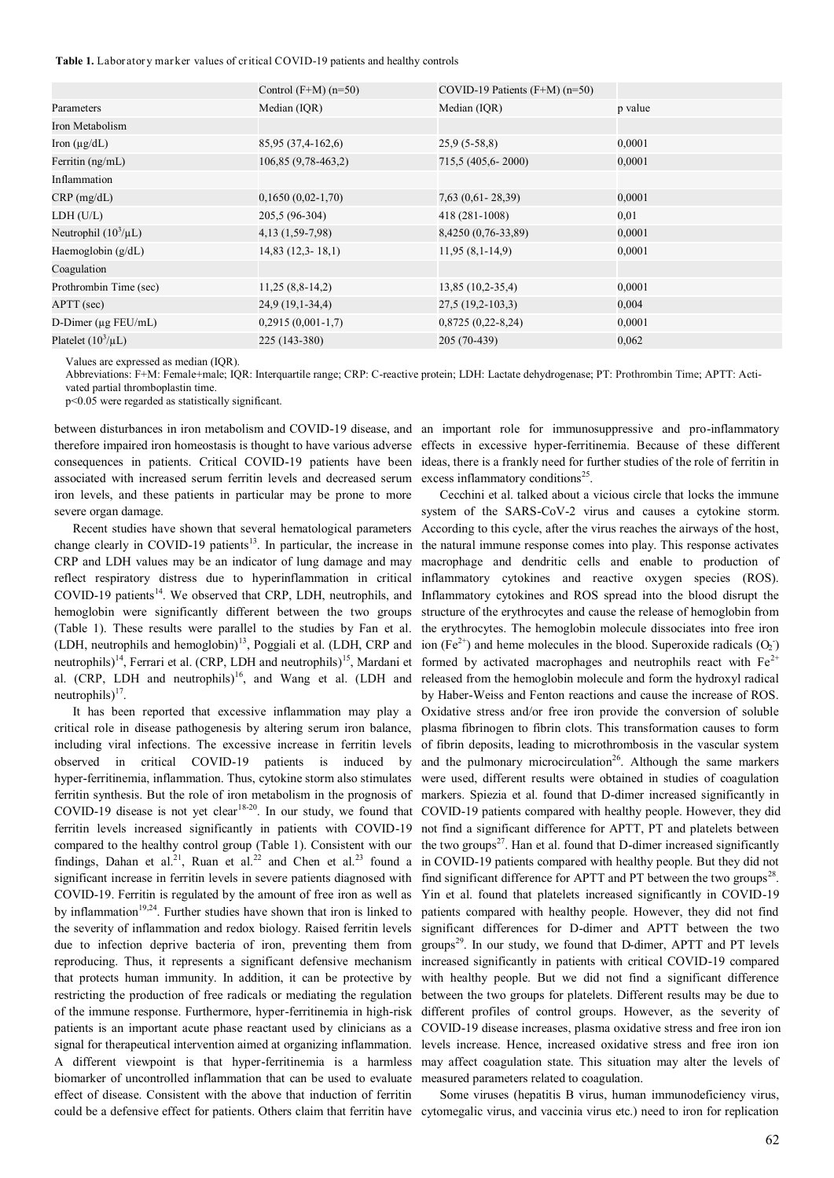Table 1. Laboratory marker values of critical COVID-19 patients and healthy controls

|                           | Control $(F+M)(n=50)$ | COVID-19 Patients $(F+M)$ (n=50) |         |
|---------------------------|-----------------------|----------------------------------|---------|
| Parameters                | Median (IQR)          | Median (IQR)                     | p value |
| Iron Metabolism           |                       |                                  |         |
| Iron $(\mu g/dL)$         | 85,95 (37,4-162,6)    | $25,9(5-58,8)$                   | 0,0001  |
| Ferritin (ng/mL)          | 106,85 (9,78-463,2)   | 715,5 (405,6-2000)               | 0,0001  |
| Inflammation              |                       |                                  |         |
| $CRP$ (mg/dL)             | $0,1650(0,02-1,70)$   | $7,63$ $(0,61 - 28,39)$          | 0,0001  |
| LDH (U/L)                 | 205,5 (96-304)        | 418 (281-1008)                   | 0,01    |
| Neutrophil $(10^3/\mu L)$ | 4, 13 (1, 59 - 7, 98) | 8,4250 (0,76-33,89)              | 0,0001  |
| Haemoglobin $(g/dL)$      | $14,83$ $(12,3-18,1)$ | $11,95(8,1-14,9)$                | 0,0001  |
| Coagulation               |                       |                                  |         |
| Prothrombin Time (sec)    | $11,25(8,8-14,2)$     | $13,85(10,2-35,4)$               | 0,0001  |
| APTT (sec)                | $24,9(19,1-34,4)$     | $27,5(19,2-103,3)$               | 0,004   |
| D-Dimer ( $\mu$ g FEU/mL) | $0,2915(0,001-1,7)$   | $0,8725(0,22-8,24)$              | 0,0001  |
| Platelet $(10^3/\mu L)$   | 225 (143-380)         | 205 (70-439)                     | 0,062   |
|                           |                       |                                  |         |

Values are expressed as median (IQR).

Abbreviations: F+M: Female+male; IQR: Interquartile range; CRP: C-reactive protein; LDH: Lactate dehydrogenase; PT: Prothrombin Time; APTT: Activated partial thromboplastin time.

p<0.05 were regarded as statistically significant.

consequences in patients. Critical COVID-19 patients have been associated with increased serum ferritin levels and decreased serum iron levels, and these patients in particular may be prone to more severe organ damage.

Recent studies have shown that several hematological parameters change clearly in COVID-19 patients<sup>13</sup>. In particular, the increase in CRP and LDH values may be an indicator of lung damage and may reflect respiratory distress due to hyperinflammation in critical COVID-19 patients<sup>14</sup>. We observed that CRP, LDH, neutrophils, and hemoglobin were significantly different between the two groups (Table 1). These results were parallel to the studies by Fan et al. (LDH, neutrophils and hemoglobin)<sup>13</sup>, Poggiali et al. (LDH, CRP and neutrophils)<sup>14</sup>, Ferrari et al. (CRP, LDH and neutrophils)<sup>15</sup>, Mardani et al. (CRP, LDH and neutrophils)<sup>16</sup>, and Wang et al. (LDH and neutrophils) $17$ .

It has been reported that excessive inflammation may play a critical role in disease pathogenesis by altering serum iron balance, including viral infections. The excessive increase in ferritin levels observed in critical COVID-19 patients is induced by hyper-ferritinemia, inflammation. Thus, cytokine storm also stimulates ferritin synthesis. But the role of iron metabolism in the prognosis of ferritin levels increased significantly in patients with COVID-19 compared to the healthy control group (Table 1). Consistent with our findings, Dahan et al.<sup>21</sup>, Ruan et al.<sup>22</sup> and Chen et al.<sup>23</sup> found a significant increase in ferritin levels in severe patients diagnosed with COVID-19. Ferritin is regulated by the amount of free iron as well as by inflammation<sup>19,24</sup>. Further studies have shown that iron is linked to the severity of inflammation and redox biology. Raised ferritin levels due to infection deprive bacteria of iron, preventing them from reproducing. Thus, it represents a significant defensive mechanism that protects human immunity. In addition, it can be protective by restricting the production of free radicals or mediating the regulation of the immune response. Furthermore, hyper-ferritinemia in high-risk patients is an important acute phase reactant used by clinicians as a signal for therapeutical intervention aimed at organizing inflammation. A different viewpoint is that hyper-ferritinemia is a harmless biomarker of uncontrolled inflammation that can be used to evaluate effect of disease. Consistent with the above that induction of ferritin

between disturbances in iron metabolism and COVID-19 disease, and an important role for immunosuppressive and pro-inflammatory therefore impaired iron homeostasis is thought to have various adverse effects in excessive hyper-ferritinemia. Because of these different ideas, there is a frankly need for further studies of the role of ferritin in excess inflammatory conditions<sup>25</sup>.

COVID-19 disease is not yet clear<sup>18-20</sup>. In our study, we found that COVID-19 patients compared with healthy people. However, they did Cecchini et al. talked about a vicious circle that locks the immune system of the SARS-CoV-2 virus and causes a cytokine storm. According to this cycle, after the virus reaches the airways of the host, the natural immune response comes into play. This response activates macrophage and dendritic cells and enable to production of inflammatory cytokines and reactive oxygen species (ROS). Inflammatory cytokines and ROS spread into the blood disrupt the structure of the erythrocytes and cause the release of hemoglobin from the erythrocytes. The hemoglobin molecule dissociates into free iron ion (Fe<sup>2+</sup>) and heme molecules in the blood. Superoxide radicals  $(O_2)$ formed by activated macrophages and neutrophils react with  $Fe^{2+}$ released from the hemoglobin molecule and form the hydroxyl radical by Haber-Weiss and Fenton reactions and cause the increase of ROS. Oxidative stress and/or free iron provide the conversion of soluble plasma fibrinogen to fibrin clots. This transformation causes to form of fibrin deposits, leading to microthrombosis in the vascular system and the pulmonary microcirculation<sup>26</sup>. Although the same markers were used, different results were obtained in studies of coagulation markers. Spiezia et al. found that D-dimer increased significantly in not find a significant difference for APTT, PT and platelets between the two groups<sup>27</sup>. Han et al. found that D-dimer increased significantly in COVID-19 patients compared with healthy people. But they did not find significant difference for APTT and PT between the two groups<sup>28</sup>. Yin et al. found that platelets increased significantly in COVID-19 patients compared with healthy people. However, they did not find significant differences for D-dimer and APTT between the two groups<sup>29</sup>. In our study, we found that D-dimer, APTT and PT levels increased significantly in patients with critical COVID-19 compared with healthy people. But we did not find a significant difference between the two groups for platelets. Different results may be due to different profiles of control groups. However, as the severity of COVID-19 disease increases, plasma oxidative stress and free iron ion levels increase. Hence, increased oxidative stress and free iron ion may affect coagulation state. This situation may alter the levels of measured parameters related to coagulation.

could be a defensive effect for patients. Others claim that ferritin have cytomegalic virus, and vaccinia virus etc.) need to iron for replication Some viruses (hepatitis B virus, human immunodeficiency virus,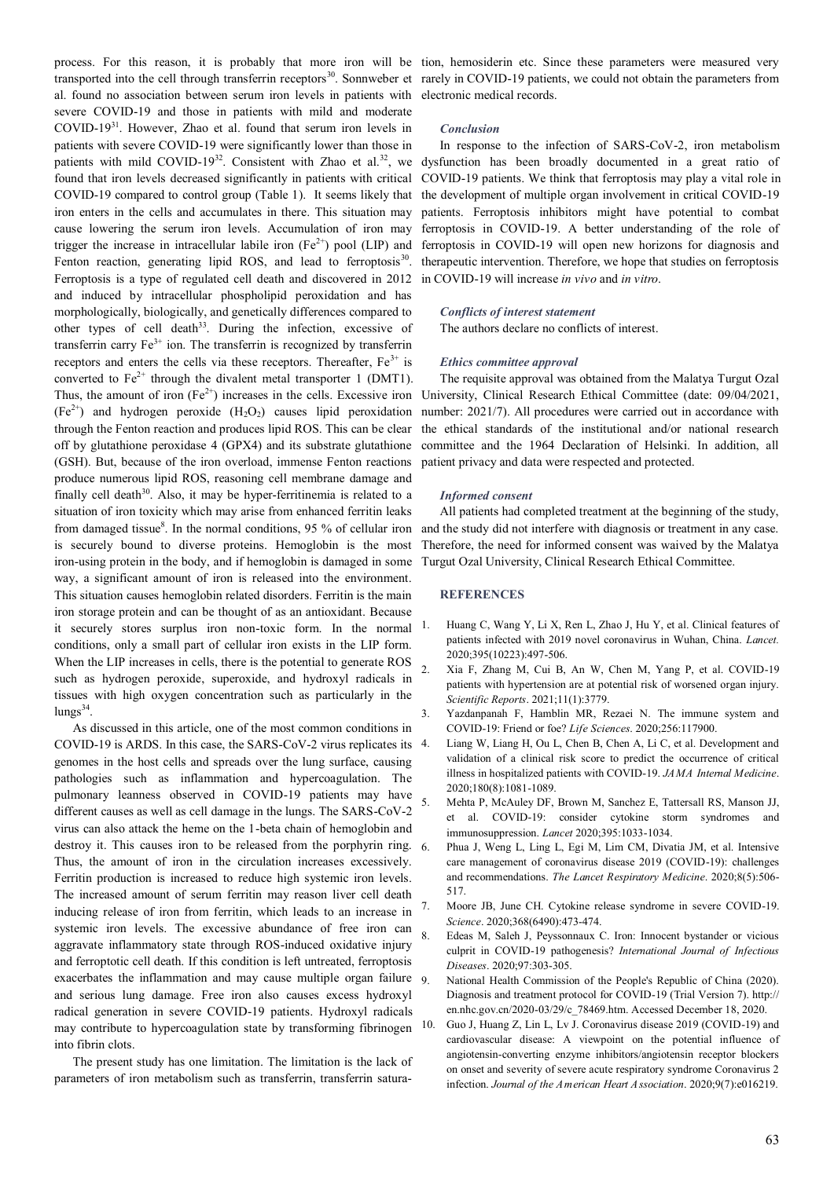transported into the cell through transferrin receptors<sup>30</sup>. Sonnweber et rarely in COVID-19 patients, we could not obtain the parameters from al. found no association between serum iron levels in patients with electronic medical records. severe COVID-19 and those in patients with mild and moderate COVID-19<sup>31</sup>. However, Zhao et al. found that serum iron levels in patients with severe COVID-19 were significantly lower than those in found that iron levels decreased significantly in patients with critical COVID-19 compared to control group (Table 1). It seems likely that iron enters in the cells and accumulates in there. This situation may cause lowering the serum iron levels. Accumulation of iron may trigger the increase in intracellular labile iron  $(Fe^{2+})$  pool (LIP) and Fenton reaction, generating lipid ROS, and lead to ferroptosis<sup>30</sup>. Ferroptosis is a type of regulated cell death and discovered in 2012 and induced by intracellular phospholipid peroxidation and has morphologically, biologically, and genetically differences compared to other types of cell death<sup>33</sup>. During the infection, excessive of transferrin carry  $Fe<sup>3+</sup>$  ion. The transferrin is recognized by transferrin receptors and enters the cells via these receptors. Thereafter,  $Fe<sup>3+</sup>$  is converted to  $Fe^{2+}$  through the divalent metal transporter 1 (DMT1).  $(Fe<sup>2+</sup>)$  and hydrogen peroxide  $(H<sub>2</sub>O<sub>2</sub>)$  causes lipid peroxidation through the Fenton reaction and produces lipid ROS. This can be clear off by glutathione peroxidase 4 (GPX4) and its substrate glutathione (GSH). But, because of the iron overload, immense Fenton reactions produce numerous lipid ROS, reasoning cell membrane damage and finally cell death $30$ . Also, it may be hyper-ferritinemia is related to a situation of iron toxicity which may arise from enhanced ferritin leaks from damaged tissue $8$ . In the normal conditions, 95 % of cellular iron is securely bound to diverse proteins. Hemoglobin is the most iron-using protein in the body, and if hemoglobin is damaged in some way, a significant amount of iron is released into the environment. This situation causes hemoglobin related disorders. Ferritin is the main iron storage protein and can be thought of as an antioxidant. Because it securely stores surplus iron non-toxic form. In the normal conditions, only a small part of cellular iron exists in the LIP form. When the LIP increases in cells, there is the potential to generate ROS such as hydrogen peroxide, superoxide, and hydroxyl radicals in tissues with high oxygen concentration such as particularly in the lungs<sup>34</sup>.

As discussed in this article, one of the most common conditions in COVID-19 is ARDS. In this case, the SARS-CoV-2 virus replicates its genomes in the host cells and spreads over the lung surface, causing pathologies such as inflammation and hypercoagulation. The pulmonary leanness observed in COVID-19 patients may have different causes as well as cell damage in the lungs. The SARS-CoV-2 virus can also attack the heme on the 1-beta chain of hemoglobin and destroy it. This causes iron to be released from the porphyrin ring. Thus, the amount of iron in the circulation increases excessively. Ferritin production is increased to reduce high systemic iron levels. The increased amount of serum ferritin may reason liver cell death inducing release of iron from ferritin, which leads to an increase in systemic iron levels. The excessive abundance of free iron can aggravate inflammatory state through ROS-induced oxidative injury and ferroptotic cell death. If this condition is left untreated, ferroptosis exacerbates the inflammation and may cause multiple organ failure 9 and serious lung damage. Free iron also causes excess hydroxyl radical generation in severe COVID-19 patients. Hydroxyl radicals may contribute to hypercoagulation state by transforming fibrinogen into fibrin clots.

The present study has one limitation. The limitation is the lack of parameters of iron metabolism such as transferrin, transferrin satura-

process. For this reason, it is probably that more iron will be tion, hemosiderin etc. Since these parameters were measured very

## *Conclusion*

patients with mild COVID-19<sup>32</sup>. Consistent with Zhao et al.<sup>32</sup>, we dysfunction has been broadly documented in a great ratio of In response to the infection of SARS-CoV-2, iron metabolism COVID-19 patients. We think that ferroptosis may play a vital role in the development of multiple organ involvement in critical COVID-19 patients. Ferroptosis inhibitors might have potential to combat ferroptosis in COVID-19. A better understanding of the role of ferroptosis in COVID-19 will open new horizons for diagnosis and therapeutic intervention. Therefore, we hope that studies on ferroptosis in COVID-19 will increase *in vivo* and *in vitro*.

#### *Conflicts of interest statement*

The authors declare no conflicts of interest.

## *Ethics committee approval*

Thus, the amount of iron  $(Fe^{2+})$  increases in the cells. Excessive iron University, Clinical Research Ethical Committee (date: 09/04/2021, The requisite approval was obtained from the Malatya Turgut Ozal number: 2021/7). All procedures were carried out in accordance with the ethical standards of the institutional and/or national research committee and the 1964 Declaration of Helsinki. In addition, all patient privacy and data were respected and protected.

## *Informed consent*

All patients had completed treatment at the beginning of the study, and the study did not interfere with diagnosis or treatment in any case. Therefore, the need for informed consent was waived by the Malatya Turgut Ozal University, Clinical Research Ethical Committee.

#### **REFERENCES**

- 1. Huang C, Wang Y, Li X, Ren L, Zhao J, Hu Y, et al. Clinical features of patients infected with 2019 novel coronavirus in Wuhan, China. *Lancet.* 2020;395(10223):497-506.
- 2. Xia F, Zhang M, Cui B, An W, Chen M, Yang P, et al. COVID-19 patients with hypertension are at potential risk of worsened organ injury. *Scientific Reports*. 2021;11(1):3779.
- Yazdanpanah F, Hamblin MR, Rezaei N. The immune system and COVID-19: Friend or foe? *Life Sciences*. 2020;256:117900.
- 4. Liang W, Liang H, Ou L, Chen B, Chen A, Li C, et al. Development and validation of a clinical risk score to predict the occurrence of critical illness in hospitalized patients with COVID-19. *JAMA Internal Medicine*. 2020;180(8):1081-1089.
- 5. Mehta P, McAuley DF, Brown M, Sanchez E, Tattersall RS, Manson JJ, et al. COVID-19: consider cytokine storm syndromes and immunosuppression. *Lancet* 2020;395:1033-1034.
- 6. Phua J, Weng L, Ling L, Egi M, Lim CM, Divatia JM, et al. Intensive care management of coronavirus disease 2019 (COVID-19): challenges and recommendations. *The Lancet Respiratory Medicine*. 2020;8(5):506- 517.
- 7. Moore JB, June CH. Cytokine release syndrome in severe COVID-19. *Science*. 2020;368(6490):473-474.
- Edeas M, Saleh J, Peyssonnaux C. Iron: Innocent bystander or vicious culprit in COVID-19 pathogenesis? *International Journal of Infectious Diseases*. 2020;97:303-305.
- National Health Commission of the People's Republic of China (2020). Diagnosis and treatment protocol for COVID-19 (Trial Version 7). http:// en.nhc.gov.cn/2020-03/29/c\_78469.htm. Accessed December 18, 2020.
- 10. Guo J, Huang Z, Lin L, Lv J. Coronavirus disease 2019 (COVID-19) and cardiovascular disease: A viewpoint on the potential influence of angiotensin-converting enzyme inhibitors/angiotensin receptor blockers on onset and severity of severe acute respiratory syndrome Coronavirus 2 infection. *Journal of the American Heart Association*. 2020;9(7):e016219.